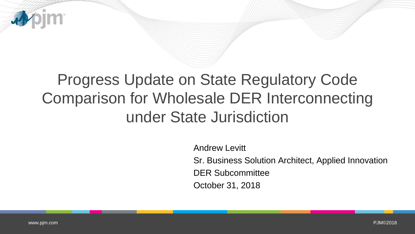

## Progress Update on State Regulatory Code Comparison for Wholesale DER Interconnecting under State Jurisdiction

Andrew Levitt

Sr. Business Solution Architect, Applied Innovation

DER Subcommittee

October 31, 2018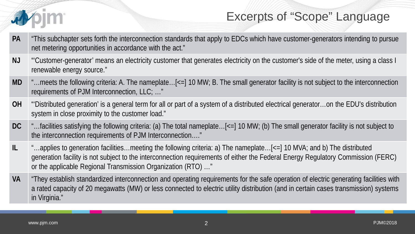

## Excerpts of "Scope" Language

- **PA** "This subchapter sets forth the interconnection standards that apply to EDCs which have customer-generators intending to pursue net metering opportunities in accordance with the act."
- **NJ** "'Customer-generator' means an electricity customer that generates electricity on the customer's side of the meter, using a class I renewable energy source."
- **MD** "…meets the following criteria: A. The nameplate…[<=] 10 MW; B. The small generator facility is not subject to the interconnection requirements of PJM Interconnection, LLC; …"
- **OH** "'Distributed generation' is a general term for all or part of a system of a distributed electrical generator…on the EDU's distribution system in close proximity to the customer load."
- **DC** "…facilities satisfying the following criteria: (a) The total nameplate…[<=] 10 MW; (b) The small generator facility is not subject to the interconnection requirements of PJM Interconnection…."
- **IL** "…applies to generation facilities…meeting the following criteria: a) The nameplate…[<=] 10 MVA; and b) The distributed generation facility is not subject to the interconnection requirements of either the Federal Energy Regulatory Commission (FERC) or the applicable Regional Transmission Organization (RTO) …"
- **VA** "They establish standardized interconnection and operating requirements for the safe operation of electric generating facilities with a rated capacity of 20 megawatts (MW) or less connected to electric utility distribution (and in certain cases transmission) systems in Virginia."